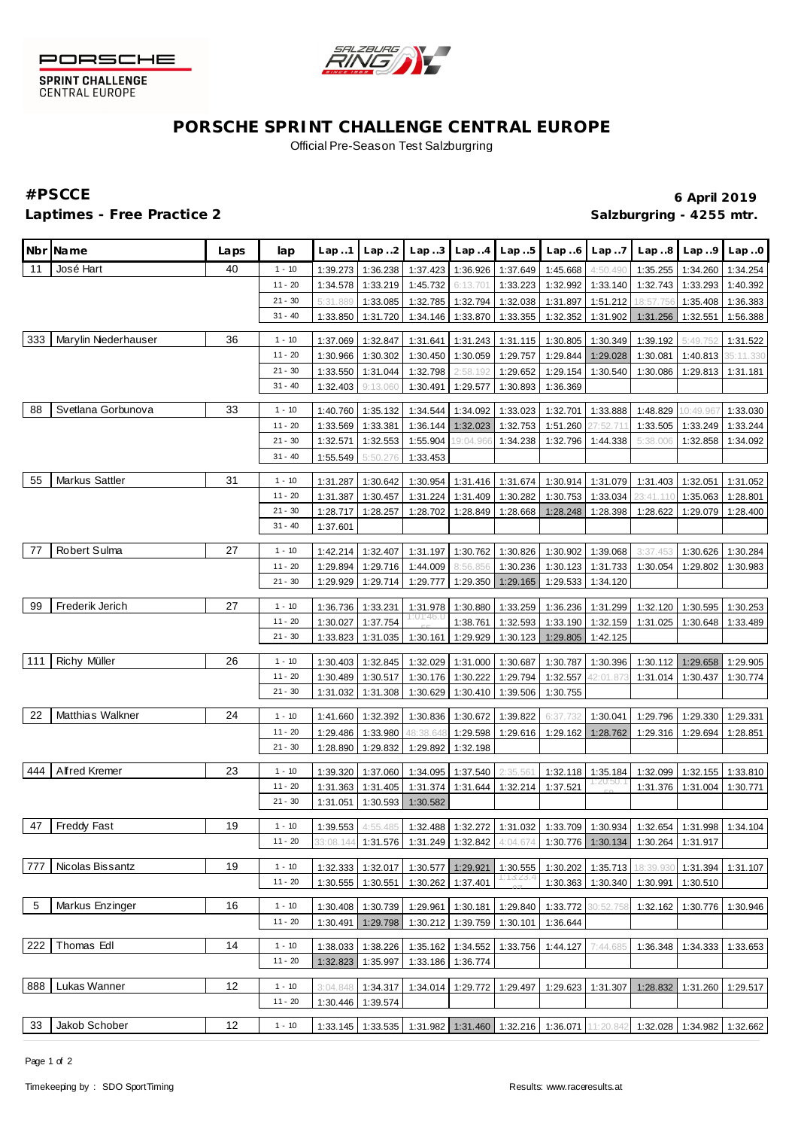



SPRINT CHALLENGE<br>CENTRAL EUROPE

# **PORSCHE SPRINT CHALLENGE CENTRAL EUROPE** Official Pre-Season Test Salzburgring

## Laptimes - Free Practice 2 **Salzburgring - 4255 mtr.**

**#PSCCE 6 April 2019**

|     | Nbr Name            | Laps | lap       | Lap1     | Lap2     | Lap.3     |                            | $Lap. .4$ $Lap. .5$        | Lap.6    | Lap.7                | Lap.8                                                                                           | Lap.9     | Lap.0     |
|-----|---------------------|------|-----------|----------|----------|-----------|----------------------------|----------------------------|----------|----------------------|-------------------------------------------------------------------------------------------------|-----------|-----------|
| 11  | José Hart           | 40   | $1 - 10$  | 1:39.273 | 1:36.238 | 1:37.423  |                            | 1:36.926 1:37.649          | 1:45.668 | 4:50.490             | 1:35.255                                                                                        | 1:34.260  | 1:34.254  |
|     |                     |      | $11 - 20$ | 1:34.578 | 1:33.219 | 1:45.732  | 6:13.701                   | 1:33.223                   | 1:32.992 | 1:33.140             | 1:32.743                                                                                        | 1:33.293  | 1:40.392  |
|     |                     |      | $21 - 30$ | 5:31.889 | 1:33.085 | 1:32.785  | 1:32.794                   | 1:32.038                   | 1:31.897 | 1:51.212             | 8:57.756                                                                                        | 1:35.408  | 1:36.383  |
|     |                     |      | $31 - 40$ | 1:33.850 | 1:31.720 | 1:34.146  | 1:33.870                   | 1:33.355                   | 1:32.352 | 1:31.902             | 1:31.256                                                                                        | 1:32.551  | 1:56.388  |
| 333 | Marylin Nederhauser | 36   |           |          |          |           |                            |                            |          |                      |                                                                                                 |           |           |
|     |                     |      | $1 - 10$  | 1:37.069 | 1:32.847 | 1:31.641  | 1:31.243                   | 1:31.115                   | 1:30.805 | 1:30.349             | 1:39.192                                                                                        | 5:49.752  | 1:31.522  |
|     |                     |      | $11 - 20$ | 1:30.966 | 1:30.302 | 1:30.450  | 1:30.059                   | 1:29.757                   | 1:29.844 | 1:29.028             | 1:30.081                                                                                        | 1:40.813  | 35:11.330 |
|     |                     |      | $21 - 30$ | 1:33.550 | 1:31.044 | 1:32.798  | 2:58.192                   | 1:29.652                   | 1:29.154 | 1:30.540             | 1:30.086                                                                                        | 1:29.813  | 1:31.181  |
|     |                     |      | $31 - 40$ | 1:32.403 | 9:13.060 | 1:30.491  | 1:29.577                   | 1:30.893                   | 1:36.369 |                      |                                                                                                 |           |           |
| 88  | Svetlana Gorbunova  | 33   | $1 - 10$  | 1:40.760 | 1:35.132 | 1:34.544  | 1:34.092                   | 1:33.023                   | 1:32.701 | 1:33.888             | 1:48.829                                                                                        | 10:49.967 | 1:33.030  |
|     |                     |      | $11 - 20$ | 1:33.569 | 1:33.381 | 1:36.144  | 1:32.023                   | 1:32.753                   | 1:51.260 | :52.71               | 1:33.505                                                                                        | 1:33.249  | 1:33.244  |
|     |                     |      | $21 - 30$ | 1:32.571 | 1:32.553 | 1:55.904  | 19:04.966                  | 1:34.238                   | 1:32.796 | 1:44.338             | 5:38.006                                                                                        | 1:32.858  | 1:34.092  |
|     |                     |      | $31 - 40$ | 1:55.549 | 5:50.276 | 1:33.453  |                            |                            |          |                      |                                                                                                 |           |           |
|     |                     |      |           |          |          |           |                            |                            |          |                      |                                                                                                 |           |           |
| 55  | Markus Sattler      | 31   | $1 - 10$  | 1:31.287 | 1:30.642 | 1:30.954  | 1:31.416                   | 1:31.674                   | 1:30.914 | 1:31.079             | 1:31.403                                                                                        | 1:32.051  | 1:31.052  |
|     |                     |      | $11 - 20$ | 1:31.387 | 1:30.457 | 1:31.224  | 1:31.409                   | 1:30.282                   | 1:30.753 | 1:33.034             | 23:41.110                                                                                       | 1:35.063  | 1:28.801  |
|     |                     |      | $21 - 30$ | 1:28.717 | 1:28.257 | 1:28.702  | 1:28.849                   | 1:28.668                   | 1:28.248 | 1:28.398             | 1:28.622                                                                                        | 1:29.079  | 1:28.400  |
|     |                     |      | $31 - 40$ | 1:37.601 |          |           |                            |                            |          |                      |                                                                                                 |           |           |
| 77  | Robert Sulma        | 27   | $1 - 10$  | 1:42.214 | 1:32.407 | 1:31.197  |                            | 1:30.762 1:30.826          | 1:30.902 | 1:39.068             | 3:37.453                                                                                        | 1:30.626  | 1:30.284  |
|     |                     |      | $11 - 20$ | 1:29.894 | 1:29.716 | 1:44.009  | 8:56.856                   | 1:30.236                   | 1:30.123 | 1:31.733             | 1:30.054                                                                                        | 1:29.802  | 1:30.983  |
|     |                     |      | $21 - 30$ | 1:29.929 | 1:29.714 | 1:29.777  | 1:29.350                   | 1:29.165                   | 1:29.533 | 1:34.120             |                                                                                                 |           |           |
|     |                     |      |           |          |          |           |                            |                            |          |                      |                                                                                                 |           |           |
| 99  | Frederik Jerich     | 27   | $1 - 10$  | 1:36.736 | 1:33.231 | 1:31.978  | 1:30.880                   | 1:33.259                   | 1:36.236 | 1:31.299             | 1:32.120                                                                                        | 1:30.595  | 1:30.253  |
|     |                     |      | $11 - 20$ | 1:30.027 | 1:37.754 |           | 1:38.761                   | 1:32.593                   | 1:33.190 | 1:32.159             | 1:31.025                                                                                        | 1:30.648  | 1:33.489  |
|     |                     |      | $21 - 30$ | 1:33.823 | 1:31.035 | 1:30.161  | 1:29.929                   | 1:30.123                   | 1:29.805 | 1:42.125             |                                                                                                 |           |           |
|     |                     | 26   |           |          |          |           |                            |                            |          |                      |                                                                                                 |           |           |
| 111 | <b>Richy Müller</b> |      | $1 - 10$  | 1:30.403 | 1:32.845 | 1:32.029  | 1:31.000                   | 1:30.687                   | 1:30.787 | 1:30.396             | 1:30.112                                                                                        | 1:29.658  | 1:29.905  |
|     |                     |      | $11 - 20$ | 1:30.489 | 1:30.517 | 1:30.176  | 1:30.222                   | 1:29.794                   | 1:32.557 | 42:01.873            | 1:31.014                                                                                        | 1:30.437  | 1:30.774  |
|     |                     |      | $21 - 30$ | 1:31.032 | 1:31.308 | 1:30.629  |                            | 1:30.410 1:39.506          | 1:30.755 |                      |                                                                                                 |           |           |
| 22  | Matthias Walkner    | 24   | $1 - 10$  | 1:41.660 | 1:32.392 | 1:30.836  | 1:30.672                   | 1:39.822                   | 6:37.732 | 1:30.041             | 1:29.796                                                                                        | 1:29.330  | 1:29.331  |
|     |                     |      | $11 - 20$ | 1:29.486 | 1:33.980 | 48:38.648 | 1:29.598                   | 1:29.616                   | 1:29.162 | 1:28.762             | 1:29.316                                                                                        | 1:29.694  | 1:28.851  |
|     |                     |      | $21 - 30$ | 1:28.890 | 1:29.832 | 1:29.892  | 1:32.198                   |                            |          |                      |                                                                                                 |           |           |
|     |                     |      |           |          |          |           |                            |                            |          |                      |                                                                                                 |           |           |
| 444 | Alfred Kremer       | 23   | $1 - 10$  | 1:39.320 | 1:37.060 | 1:34.095  | 1:37.540                   | 2:35.56'                   | 1:32.118 | 1:35.184<br>I:20:50. | 1:32.099                                                                                        | 1:32.155  | 1:33.810  |
|     |                     |      | $11 - 20$ | 1:31.363 | 1:31.405 | 1:31.374  | 1:31.644                   | 1:32.214                   | 1:37.521 |                      | 1:31.376                                                                                        | 1:31.004  | 1:30.771  |
|     |                     |      | $21 - 30$ | 1:31.051 | 1:30.593 | 1:30.582  |                            |                            |          |                      |                                                                                                 |           |           |
| 47  | Freddy Fast         | 19   | $1 - 10$  | 1:39.553 | 4:55.485 | 1:32.488  |                            | 1:32.272 1:31.032          |          | 1:33.709 1:30.934    | 1:32.654                                                                                        | 1:31.998  | 1:34.104  |
|     |                     |      | $11 - 20$ |          |          |           |                            |                            |          |                      | 33:08.144 <b>1:31.576 1:31.249 1:32.842</b> 4:04.674 <b>1:30.776 1:30.134 1:30.264 1:31.917</b> |           |           |
|     |                     |      |           |          |          |           |                            |                            |          |                      |                                                                                                 |           |           |
| 777 | Nicolas Bissantz    | 19   | $1 - 10$  | 1:32.333 | 1:32.017 | 1:30.577  | 1:29.921                   | 1:30.555                   | 1:30.202 | 1:35.713             | 18:39.930                                                                                       | 1:31.394  | 1:31.107  |
|     |                     |      | $11 - 20$ | 1:30.555 | 1:30.551 | 1:30.262  | 1:37.401                   | 1:13:23.                   | 1:30.363 | 1:30.340             | 1:30.991                                                                                        | 1:30.510  |           |
| 5   | Markus Enzinger     | 16   | $1 - 10$  |          |          | 1:29.961  |                            | 1:29.840                   |          |                      |                                                                                                 |           |           |
|     |                     |      |           | 1:30.408 | 1:30.739 |           | 1:30.181                   |                            | 1:33.772 | 30:52.758            | 1:32.162                                                                                        | 1:30.776  | 1:30.946  |
|     |                     |      | $11 - 20$ | 1:30.491 | 1:29.798 | 1:30.212  | 1:39.759                   | 1:30.101                   | 1:36.644 |                      |                                                                                                 |           |           |
| 222 | Thomas Edl          | 14   | $1 - 10$  | 1:38.033 | 1:38.226 |           | 1:35.162 1:34.552 1:33.756 |                            | 1:44.127 | 7:44.685             | 1:36.348                                                                                        | 1:34.333  | 1:33.653  |
|     |                     |      | $11 - 20$ | 1:32.823 | 1:35.997 |           | 1:33.186 1:36.774          |                            |          |                      |                                                                                                 |           |           |
|     |                     |      |           |          |          |           |                            |                            |          |                      |                                                                                                 |           |           |
| 888 | Lukas Wanner        | 12   | $1 - 10$  | 3:04.848 | 1:34.317 | 1:34.014  | 1:29.772                   | 1:29.497                   | 1:29.623 | 1:31.307             | 1:28.832                                                                                        | 1:31.260  | 1:29.517  |
|     |                     |      | $11 - 20$ | 1:30.446 | 1:39.574 |           |                            |                            |          |                      |                                                                                                 |           |           |
| 33  | Jakob Schober       | 12   | $1 - 10$  | 1:33.145 | 1:33.535 |           |                            | 1:31.982 1:31.460 1:32.216 | 1:36.071 | 11:20.842            | 1:32.028                                                                                        | 1:34.982  | 1:32.662  |
|     |                     |      |           |          |          |           |                            |                            |          |                      |                                                                                                 |           |           |

Page 1 of 2